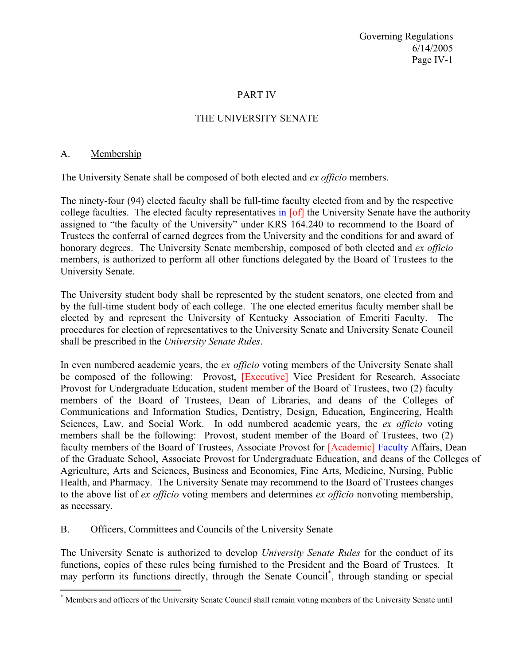Governing Regulations 6/14/2005 Page IV-1

### PART IV

## THE UNIVERSITY SENATE

#### A. Membership

 $\overline{a}$ 

The University Senate shall be composed of both elected and *ex officio* members.

The ninety-four (94) elected faculty shall be full-time faculty elected from and by the respective college faculties. The elected faculty representatives in [of] the University Senate have the authority assigned to "the faculty of the University" under KRS 164.240 to recommend to the Board of Trustees the conferral of earned degrees from the University and the conditions for and award of honorary degrees. The University Senate membership, composed of both elected and *ex officio* members, is authorized to perform all other functions delegated by the Board of Trustees to the University Senate.

The University student body shall be represented by the student senators, one elected from and by the full-time student body of each college. The one elected emeritus faculty member shall be elected by and represent the University of Kentucky Association of Emeriti Faculty. The procedures for election of representatives to the University Senate and University Senate Council shall be prescribed in the *University Senate Rules*.

In even numbered academic years, the *ex officio* voting members of the University Senate shall be composed of the following: Provost, [Executive] Vice President for Research, Associate Provost for Undergraduate Education, student member of the Board of Trustees, two (2) faculty members of the Board of Trustees, Dean of Libraries, and deans of the Colleges of Communications and Information Studies, Dentistry, Design, Education, Engineering, Health Sciences, Law, and Social Work. In odd numbered academic years, the *ex officio* voting members shall be the following: Provost, student member of the Board of Trustees, two (2) faculty members of the Board of Trustees, Associate Provost for [Academic] Faculty Affairs, Dean of the Graduate School, Associate Provost for Undergraduate Education, and deans of the Colleges of Agriculture, Arts and Sciences, Business and Economics, Fine Arts, Medicine, Nursing, Public Health, and Pharmacy. The University Senate may recommend to the Board of Trustees changes to the above list of *ex officio* voting members and determines *ex officio* nonvoting membership, as necessary.

### B. Officers, Committees and Councils of the University Senate

The University Senate is authorized to develop *University Senate Rules* for the conduct of its functions, copies of these rules being furnished to the President and the Board of Trustees. It may perform its functions directly, through the Senate Council\* , through standing or special

<sup>\*</sup> Members and officers of the University Senate Council shall remain voting members of the University Senate until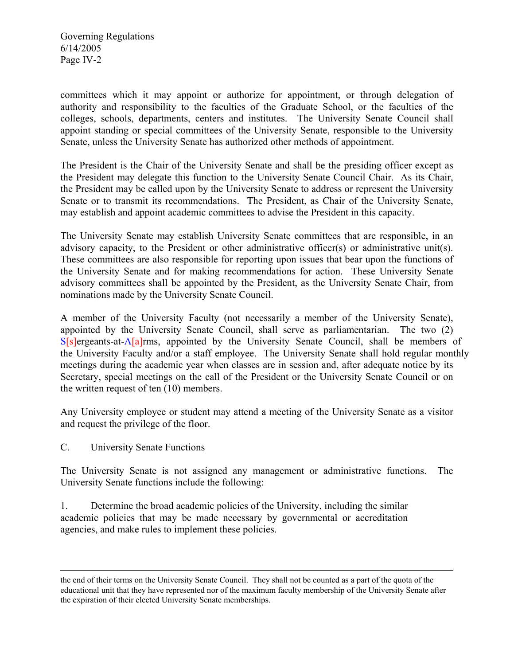Governing Regulations 6/14/2005 Page IV-2

committees which it may appoint or authorize for appointment, or through delegation of authority and responsibility to the faculties of the Graduate School, or the faculties of the colleges, schools, departments, centers and institutes. The University Senate Council shall appoint standing or special committees of the University Senate, responsible to the University Senate, unless the University Senate has authorized other methods of appointment.

The President is the Chair of the University Senate and shall be the presiding officer except as the President may delegate this function to the University Senate Council Chair. As its Chair, the President may be called upon by the University Senate to address or represent the University Senate or to transmit its recommendations. The President, as Chair of the University Senate, may establish and appoint academic committees to advise the President in this capacity.

The University Senate may establish University Senate committees that are responsible, in an advisory capacity, to the President or other administrative officer(s) or administrative unit(s). These committees are also responsible for reporting upon issues that bear upon the functions of the University Senate and for making recommendations for action. These University Senate advisory committees shall be appointed by the President, as the University Senate Chair, from nominations made by the University Senate Council.

A member of the University Faculty (not necessarily a member of the University Senate), appointed by the University Senate Council, shall serve as parliamentarian. The two (2) S[s]ergeants-at-A[a]rms, appointed by the University Senate Council, shall be members of the University Faculty and/or a staff employee. The University Senate shall hold regular monthly meetings during the academic year when classes are in session and, after adequate notice by its Secretary, special meetings on the call of the President or the University Senate Council or on the written request of ten (10) members.

Any University employee or student may attend a meeting of the University Senate as a visitor and request the privilege of the floor.

# C. University Senate Functions

1

The University Senate is not assigned any management or administrative functions. The University Senate functions include the following:

1. Determine the broad academic policies of the University, including the similar academic policies that may be made necessary by governmental or accreditation agencies, and make rules to implement these policies.

the end of their terms on the University Senate Council. They shall not be counted as a part of the quota of the educational unit that they have represented nor of the maximum faculty membership of the University Senate after the expiration of their elected University Senate memberships.